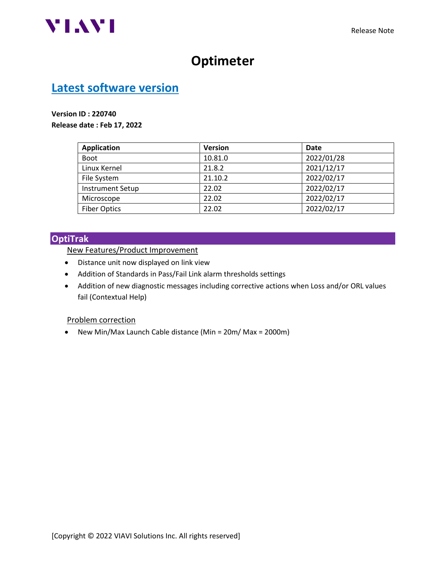

# **Optimeter**

## **Latest software version**

#### **Version ID : 220740**

**Release date : Feb 17, 2022**

| <b>Application</b>      | <b>Version</b> | Date       |
|-------------------------|----------------|------------|
| <b>Boot</b>             | 10.81.0        | 2022/01/28 |
| Linux Kernel            | 21.8.2         | 2021/12/17 |
| File System             | 21.10.2        | 2022/02/17 |
| <b>Instrument Setup</b> | 22.02          | 2022/02/17 |
| Microscope              | 22.02          | 2022/02/17 |
| <b>Fiber Optics</b>     | 22.02          | 2022/02/17 |

#### **OptiTrak**

#### New Features/Product Improvement

- Distance unit now displayed on link view
- Addition of Standards in Pass/Fail Link alarm thresholds settings
- Addition of new diagnostic messages including corrective actions when Loss and/or ORL values fail (Contextual Help)

#### Problem correction

• New Min/Max Launch Cable distance (Min = 20m/ Max = 2000m)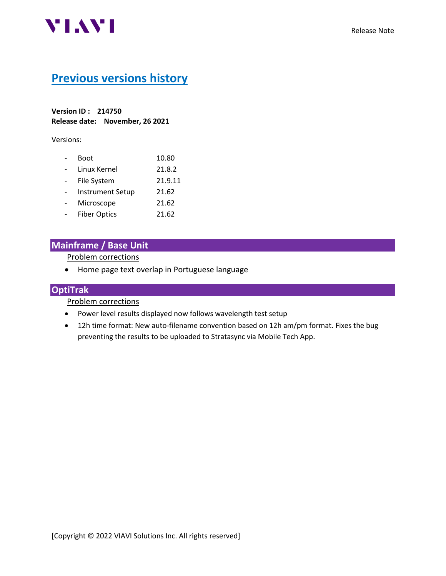

## **Previous versions history**

**Version ID : 214750 Release date: November, 26 2021**

Versions:

| Boot                    | 10.80   |
|-------------------------|---------|
| Linux Kernel            | 21.8.2  |
| File System             | 21.9.11 |
| <b>Instrument Setup</b> | 21.62   |
| Microscope              | 21.62   |
| <b>Fiber Optics</b>     | 21.62   |
|                         |         |

## **Mainframe / Base Unit**

Problem corrections

• Home page text overlap in Portuguese language

### **OptiTrak**

Problem corrections

- Power level results displayed now follows wavelength test setup
- 12h time format: New auto-filename convention based on 12h am/pm format. Fixes the bug preventing the results to be uploaded to Stratasync via Mobile Tech App.